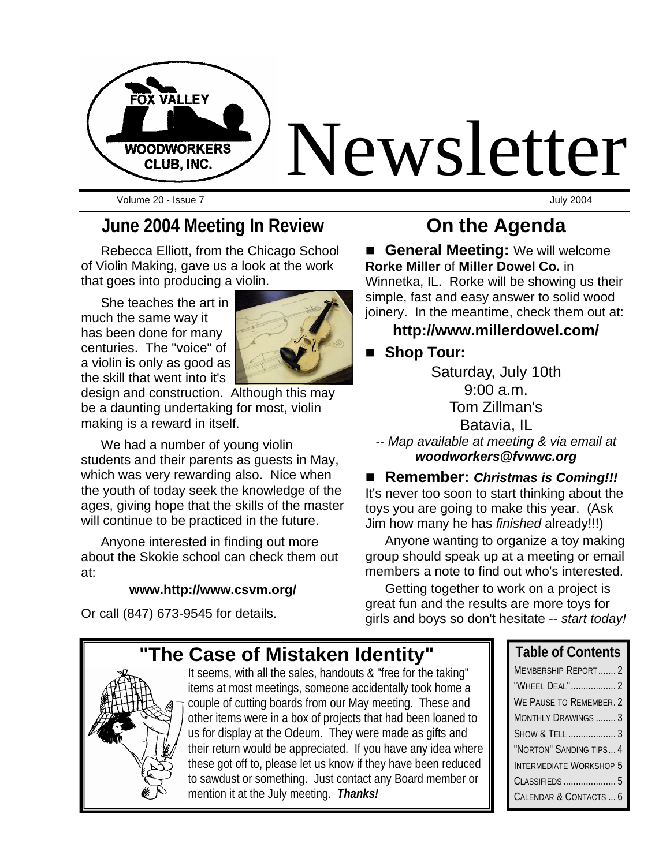

Volume 20 - Issue 7 July 2004

## **June 2004 Meeting In Review**

Rebecca Elliott, from the Chicago School of Violin Making, gave us a look at the work that goes into producing a violin.

She teaches the art in much the same way it has been done for many centuries. The "voice" of a violin is only as good as the skill that went into it's



design and construction. Although this may be a daunting undertaking for most, violin making is a reward in itself.

We had a number of young violin students and their parents as guests in May, which was very rewarding also. Nice when the youth of today seek the knowledge of the ages, giving hope that the skills of the master will continue to be practiced in the future.

Anyone interested in finding out more about the Skokie school can check them out at:

#### **www.http://www.csvm.org/**

Or call (847) 673-9545 for details.

## **On the Agenda**

**E** General Meeting: We will welcome **Rorke Miller** of **Miller Dowel Co.** in Winnetka, IL. Rorke will be showing us their simple, fast and easy answer to solid wood joinery. In the meantime, check them out at:

#### **http://www.millerdowel.com/**

#### ■ Shop Tour:

Saturday, July 10th 9:00 a.m. Tom Zillman's Batavia, IL

*-- Map available at meeting & via email at woodworkers@fvwwc.org*

#### ■ Remember: *Christmas is Coming!!!*

It's never too soon to start thinking about the toys you are going to make this year. (Ask Jim how many he has *finished* already!!!)

Anyone wanting to organize a toy making group should speak up at a meeting or email members a note to find out who's interested.

Getting together to work on a project is great fun and the results are more toys for girls and boys so don't hesitate -- *start today!*

**Case of Mistaken Identity"** 

It seems, with all the sales, handouts & "free for the taking" items at most meetings, someone accidentally took home a couple of cutting boards from our May meeting. These and other items were in a box of projects that had been loaned to us for display at the Odeum. They were made as gifts and their return would be appreciated. If you have any idea where these got off to, please let us know if they have been reduced to sawdust or something. Just contact any Board member or mention it at the July meeting. *Thanks!*

| <b>Table of Contents</b>       |
|--------------------------------|
| MEMBERSHIP REPORT2             |
| "WHEEL DEAL" 2                 |
| WE PAUSE TO REMEMBER. 2        |
| MONTHLY DRAWINGS  3            |
| SHOW & TELL  3                 |
| "NORTON" SANDING TIPS 4        |
| <b>INTERMEDIATE WORKSHOP 5</b> |
| CLASSIFIEDS  5                 |
| CALENDAR & CONTACTS  6         |
|                                |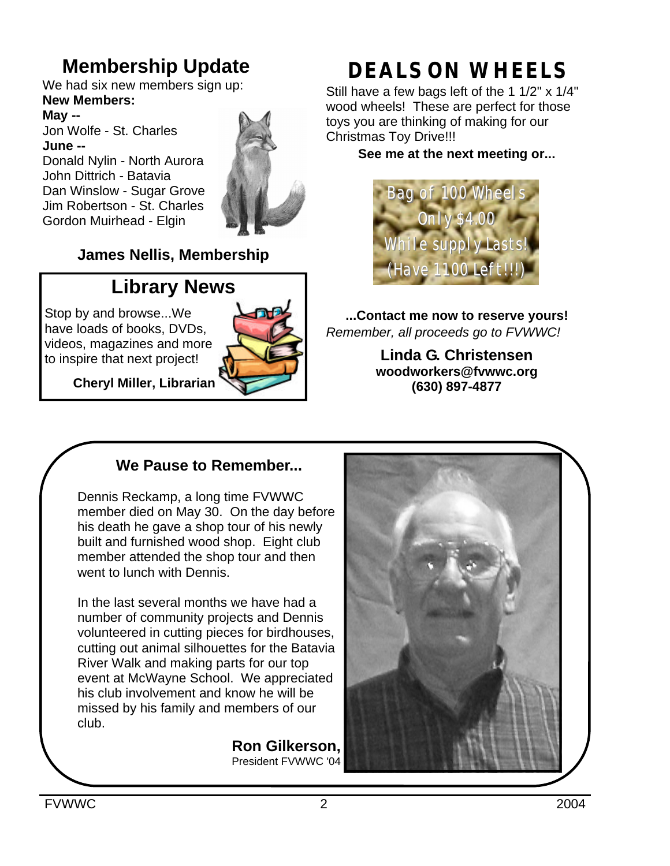## **Membership Update**

We had six new members sign up: **New Members:**

**May --** Jon Wolfe - St. Charles **June --** Donald Nylin - North Aurora John Dittrich - Batavia Dan Winslow - Sugar Grove Jim Robertson - St. Charles Gordon Muirhead - Elgin



#### **James Nellis, Membership**

## **Library News**

Stop by and browse...We have loads of books, DVDs, videos, magazines and more to inspire that next project!





# **DEALS ON WHEELS**

Still have a few bags left of the 1 1/2" x 1/4" wood wheels! These are perfect for those toys you are thinking of making for our Christmas Toy Drive!!!

**See me at the next meeting or...**



**...Contact me now to reserve yours!** *Remember, all proceeds go to FVWWC!*

> **Linda G. Christensen woodworkers@fvwwc.org (630) 897-4877**

### **We Pause to Remember...**

Dennis Reckamp, a long time FVWWC member died on May 30. On the day before his death he gave a shop tour of his newly built and furnished wood shop. Eight club member attended the shop tour and then went to lunch with Dennis.

In the last several months we have had a number of community projects and Dennis volunteered in cutting pieces for birdhouses, cutting out animal silhouettes for the Batavia River Walk and making parts for our top event at McWayne School. We appreciated his club involvement and know he will be missed by his family and members of our club.

> **Ron Gilkerson,** President FVWWC '04

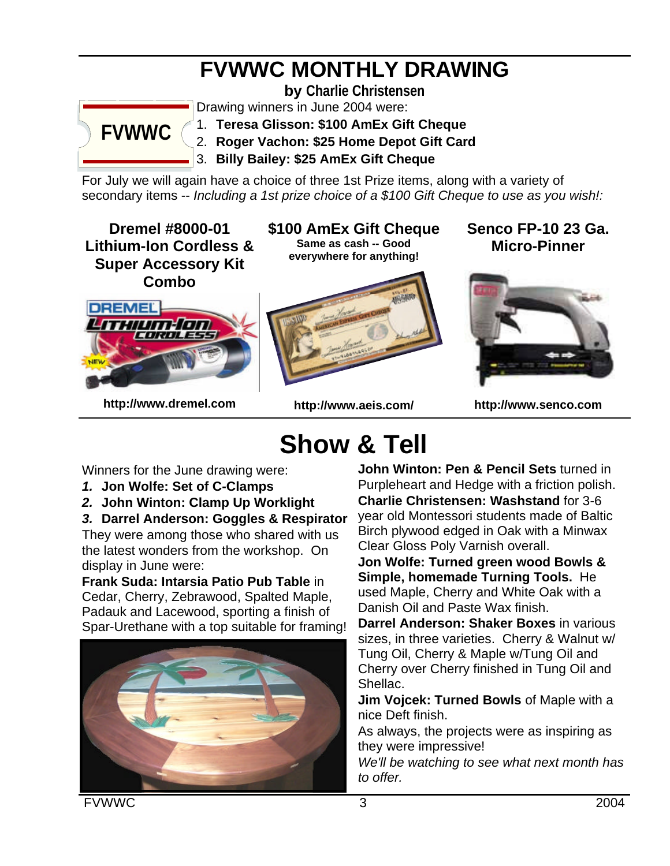# **FVWWC MONTHLY DRAWING**

**by Charlie Christensen**



Drawing winners in June 2004 were:

1. **Teresa Glisson: \$100 AmEx Gift Cheque** 

2. **Roger Vachon: \$25 Home Depot Gift Card**

3. **Billy Bailey: \$25 AmEx Gift Cheque** 

For July we will again have a choice of three 1st Prize items, along with a variety of secondary items -- *Including a 1st prize choice of a \$100 Gift Cheque to use as you wish!:*

**Dremel #8000-01 Lithium-Ion Cordless & Super Accessory Kit Combo**

**\$100 AmEx Gift Cheque Same as cash -- Good everywhere for anything!**

**Senco FP-10 23 Ga. Micro-Pinner**



**http://www.dremel.com**

**http://www.aeis.com/**

**http://www.senco.com**

# **Show & Tell**

Winners for the June drawing were:

- *1.* **Jon Wolfe: Set of C-Clamps**
- *2.* **John Winton: Clamp Up Worklight**

*3.* **Darrel Anderson: Goggles & Respirator** 

They were among those who shared with us the latest wonders from the workshop. On display in June were:

**Frank Suda: Intarsia Patio Pub Table** in Cedar, Cherry, Zebrawood, Spalted Maple, Padauk and Lacewood, sporting a finish of Spar-Urethane with a top suitable for framing!



**John Winton: Pen & Pencil Sets** turned in Purpleheart and Hedge with a friction polish. **Charlie Christensen: Washstand** for 3-6 year old Montessori students made of Baltic Birch plywood edged in Oak with a Minwax Clear Gloss Poly Varnish overall.

**Jon Wolfe: Turned green wood Bowls & Simple, homemade Turning Tools.** He used Maple, Cherry and White Oak with a Danish Oil and Paste Wax finish.

**Darrel Anderson: Shaker Boxes** in various sizes, in three varieties. Cherry & Walnut w/ Tung Oil, Cherry & Maple w/Tung Oil and Cherry over Cherry finished in Tung Oil and Shellac.

**Jim Vojcek: Turned Bowls** of Maple with a nice Deft finish.

As always, the projects were as inspiring as they were impressive!

*We'll be watching to see what next month has to offer.*

FVWWC 3 2004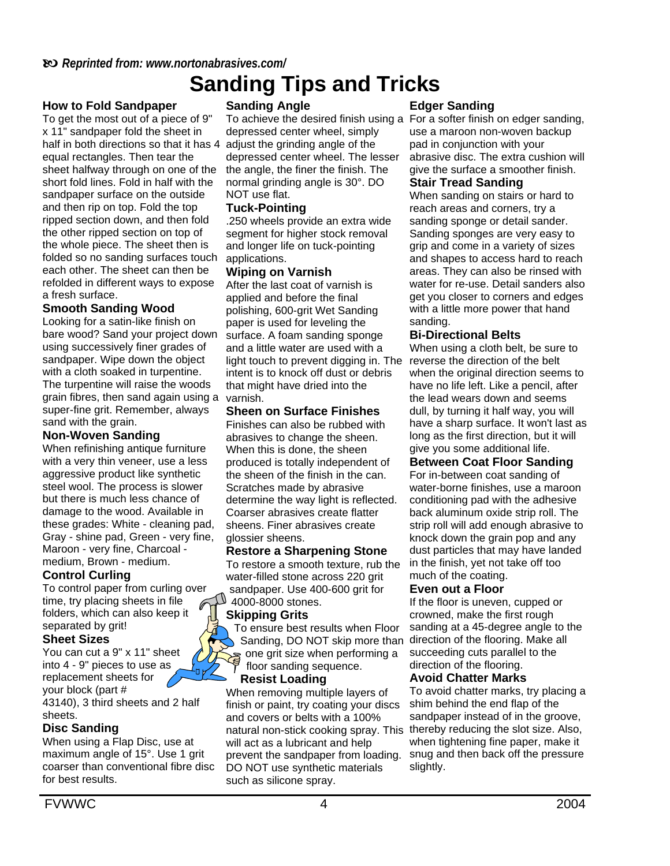## b *Reprinted from: www.nortonabrasives.com/*

# **Sanding Tips and Tricks**

#### **How to Fold Sandpaper**

To get the most out of a piece of 9" x 11" sandpaper fold the sheet in half in both directions so that it has 4 adjust the grinding angle of the equal rectangles. Then tear the sheet halfway through on one of the short fold lines. Fold in half with the sandpaper surface on the outside and then rip on top. Fold the top ripped section down, and then fold the other ripped section on top of the whole piece. The sheet then is folded so no sanding surfaces touch applications. each other. The sheet can then be refolded in different ways to expose a fresh surface.

#### **Smooth Sanding Wood**

Looking for a satin-like finish on bare wood? Sand your project down using successively finer grades of sandpaper. Wipe down the object with a cloth soaked in turpentine. The turpentine will raise the woods grain fibres, then sand again using a varnish. super-fine grit. Remember, always sand with the grain.

#### **Non-Woven Sanding**

When refinishing antique furniture with a very thin veneer, use a less aggressive product like synthetic steel wool. The process is slower but there is much less chance of damage to the wood. Available in these grades: White - cleaning pad, Gray - shine pad, Green - very fine, Maroon - very fine, Charcoal medium, Brown - medium.

#### **Control Curling**

To control paper from curling over time, try placing sheets in file folders, which can also keep it separated by grit!

#### **Sheet Sizes**

You can cut a 9" x 11" sheet into 4 - 9" pieces to use as nй replacement sheets for your block (part # 43140), 3 third sheets and 2 half sheets.

#### **Disc Sanding**

When using a Flap Disc, use at maximum angle of 15°. Use 1 grit coarser than conventional fibre disc for best results.

#### **Sanding Angle**

depressed center wheel, simply depressed center wheel. The lesser the angle, the finer the finish. The normal grinding angle is 30°. DO NOT use flat.

#### **Tuck-Pointing**

.250 wheels provide an extra wide segment for higher stock removal and longer life on tuck-pointing

#### **Wiping on Varnish**

After the last coat of varnish is applied and before the final polishing, 600-grit Wet Sanding paper is used for leveling the surface. A foam sanding sponge and a little water are used with a light touch to prevent digging in. The intent is to knock off dust or debris that might have dried into the

#### **Sheen on Surface Finishes**

Finishes can also be rubbed with abrasives to change the sheen. When this is done, the sheen produced is totally independent of the sheen of the finish in the can. Scratches made by abrasive determine the way light is reflected. Coarser abrasives create flatter sheens. Finer abrasives create glossier sheens.

#### **Restore a Sharpening Stone**

To restore a smooth texture, rub the water-filled stone across 220 grit sandpaper. Use 400-600 grit for 4000-8000 stones.

#### **Skipping Grits**

To ensure best results when Floor Sanding, DO NOT skip more than s one grit size when performing a floor sanding sequence.

#### **Resist Loading**

When removing multiple layers of finish or paint, try coating your discs and covers or belts with a 100% natural non-stick cooking spray. This will act as a lubricant and help prevent the sandpaper from loading. DO NOT use synthetic materials such as silicone spray.

#### **Edger Sanding**

To achieve the desired finish using a For a softer finish on edger sanding, use a maroon non-woven backup pad in conjunction with your abrasive disc. The extra cushion will give the surface a smoother finish.

#### **Stair Tread Sanding**

When sanding on stairs or hard to reach areas and corners, try a sanding sponge or detail sander. Sanding sponges are very easy to grip and come in a variety of sizes and shapes to access hard to reach areas. They can also be rinsed with water for re-use. Detail sanders also get you closer to corners and edges with a little more power that hand sanding.

#### **Bi-Directional Belts**

When using a cloth belt, be sure to reverse the direction of the belt when the original direction seems to have no life left. Like a pencil, after the lead wears down and seems dull, by turning it half way, you will have a sharp surface. It won't last as long as the first direction, but it will give you some additional life.

#### **Between Coat Floor Sanding**

For in-between coat sanding of water-borne finishes, use a maroon conditioning pad with the adhesive back aluminum oxide strip roll. The strip roll will add enough abrasive to knock down the grain pop and any dust particles that may have landed in the finish, yet not take off too much of the coating.

#### **Even out a Floor**

If the floor is uneven, cupped or crowned, make the first rough sanding at a 45-degree angle to the direction of the flooring. Make all succeeding cuts parallel to the direction of the flooring.

#### **Avoid Chatter Marks**

To avoid chatter marks, try placing a shim behind the end flap of the sandpaper instead of in the groove, thereby reducing the slot size. Also, when tightening fine paper, make it snug and then back off the pressure slightly.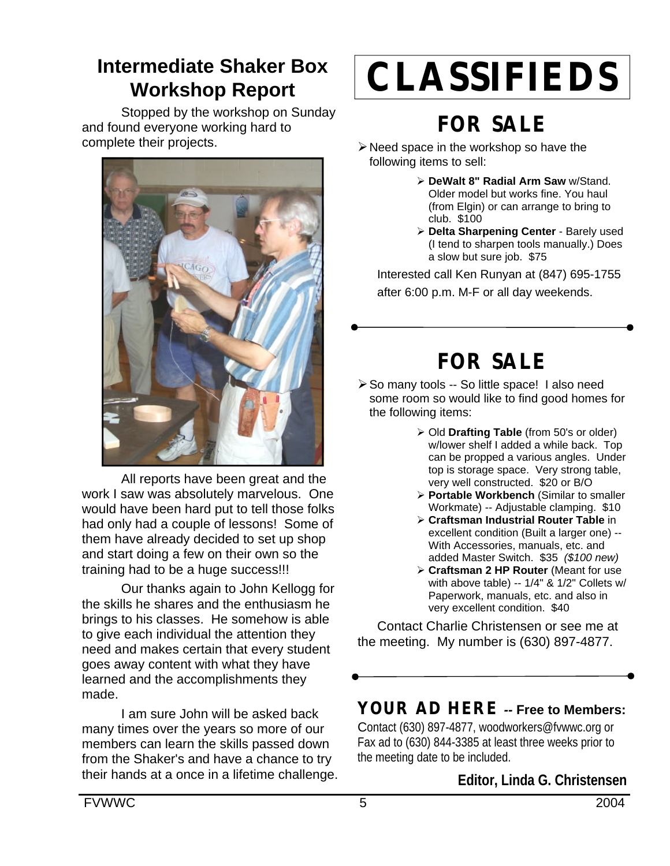## **Intermediate Shaker Box Workshop Report**

Stopped by the workshop on Sunday and found everyone working hard to complete their projects.



All reports have been great and the work I saw was absolutely marvelous. One would have been hard put to tell those folks had only had a couple of lessons! Some of them have already decided to set up shop and start doing a few on their own so the training had to be a huge success!!!

Our thanks again to John Kellogg for the skills he shares and the enthusiasm he brings to his classes. He somehow is able to give each individual the attention they need and makes certain that every student goes away content with what they have learned and the accomplishments they made.

I am sure John will be asked back many times over the years so more of our members can learn the skills passed down from the Shaker's and have a chance to try their hands at a once in a lifetime challenge.

# **CLASSIFIEDS**

# **FOR SALE**

- $\triangleright$  Need space in the workshop so have the following items to sell:
	- ÿ **DeWalt 8" Radial Arm Saw** w/Stand. Older model but works fine. You haul (from Elgin) or can arrange to bring to club. \$100
	- **≻ Delta Sharpening Center** Barely used (I tend to sharpen tools manually.) Does a slow but sure job. \$75

Interested call Ken Runyan at (847) 695-1755 after 6:00 p.m. M-F or all day weekends.

# **FOR SALE**

- ▶ So many tools -- So little space! I also need some room so would like to find good homes for the following items:
	- ÿ Old **Drafting Table** (from 50's or older) w/lower shelf I added a while back. Top can be propped a various angles. Under top is storage space. Very strong table, very well constructed. \$20 or B/O
	- **≽ Portable Workbench (Similar to smaller** Workmate) -- Adjustable clamping. \$10
	- ÿ **Craftsman Industrial Router Table** in excellent condition (Built a larger one) -- With Accessories, manuals, etc. and added Master Switch. \$35 *(\$100 new)*
	- ÿ **Craftsman 2 HP Router** (Meant for use with above table) -- 1/4" & 1/2" Collets w/ Paperwork, manuals, etc. and also in very excellent condition. \$40

Contact Charlie Christensen or see me at the meeting. My number is (630) 897-4877.

## **YOUR AD HERE** *--* **Free to Members:**

Contact (630) 897-4877, woodworkers@fvwwc.org or Fax ad to (630) 844-3385 at least three weeks prior to the meeting date to be included.

## **Editor, Linda G. Christensen**